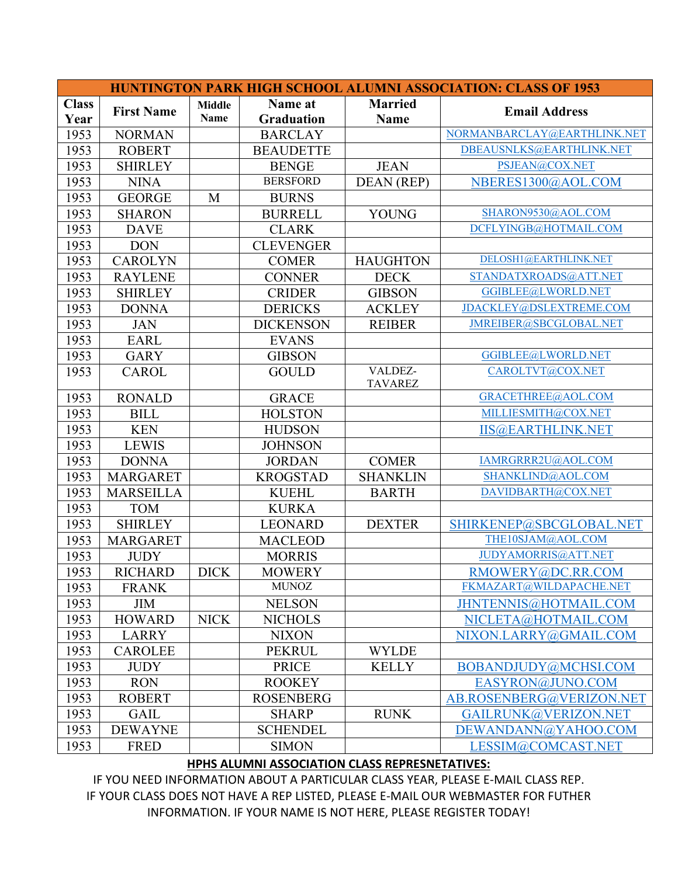| <b>HUNTINGTON PARK HIGH SCHOOL ALUMNI ASSOCIATION: CLASS OF 1953</b> |                   |               |                   |                 |                             |  |  |  |  |
|----------------------------------------------------------------------|-------------------|---------------|-------------------|-----------------|-----------------------------|--|--|--|--|
| <b>Class</b>                                                         |                   | <b>Middle</b> | Name at           | <b>Married</b>  |                             |  |  |  |  |
| Year                                                                 | <b>First Name</b> | <b>Name</b>   | <b>Graduation</b> | <b>Name</b>     | <b>Email Address</b>        |  |  |  |  |
| 1953                                                                 | <b>NORMAN</b>     |               | <b>BARCLAY</b>    |                 | NORMANBARCLAY@EARTHLINK.NET |  |  |  |  |
| 1953                                                                 | <b>ROBERT</b>     |               | <b>BEAUDETTE</b>  |                 | DBEAUSNLKS@EARTHLINK.NET    |  |  |  |  |
| 1953                                                                 | <b>SHIRLEY</b>    |               | <b>BENGE</b>      | <b>JEAN</b>     | PSJEAN@COX.NET              |  |  |  |  |
| 1953                                                                 | <b>NINA</b>       |               | <b>BERSFORD</b>   | DEAN (REP)      | NBERES1300@AOL.COM          |  |  |  |  |
| 1953                                                                 | <b>GEORGE</b>     | M             | <b>BURNS</b>      |                 |                             |  |  |  |  |
| 1953                                                                 | <b>SHARON</b>     |               | <b>BURRELL</b>    | <b>YOUNG</b>    | SHARON9530@AOL.COM          |  |  |  |  |
| 1953                                                                 | <b>DAVE</b>       |               | <b>CLARK</b>      |                 | DCFLYINGB@HOTMAIL.COM       |  |  |  |  |
| 1953                                                                 | <b>DON</b>        |               | <b>CLEVENGER</b>  |                 |                             |  |  |  |  |
| 1953                                                                 | <b>CAROLYN</b>    |               | <b>COMER</b>      | <b>HAUGHTON</b> | DELOSH1@EARTHLINK.NET       |  |  |  |  |
| 1953                                                                 | <b>RAYLENE</b>    |               | <b>CONNER</b>     | <b>DECK</b>     | STANDATXROADS@ATT.NET       |  |  |  |  |
| 1953                                                                 | <b>SHIRLEY</b>    |               | <b>CRIDER</b>     | <b>GIBSON</b>   | GGIBLEE@LWORLD.NET          |  |  |  |  |
| 1953                                                                 | <b>DONNA</b>      |               | <b>DERICKS</b>    | <b>ACKLEY</b>   | JDACKLEY@DSLEXTREME.COM     |  |  |  |  |
| 1953                                                                 | <b>JAN</b>        |               | <b>DICKENSON</b>  | <b>REIBER</b>   | JMREIBER@SBCGLOBAL.NET      |  |  |  |  |
| 1953                                                                 | <b>EARL</b>       |               | <b>EVANS</b>      |                 |                             |  |  |  |  |
| 1953                                                                 | <b>GARY</b>       |               | <b>GIBSON</b>     |                 | GGIBLEE@LWORLD.NET          |  |  |  |  |
| 1953                                                                 | <b>CAROL</b>      |               | <b>GOULD</b>      | VALDEZ-         | CAROLTVT@COX.NET            |  |  |  |  |
|                                                                      |                   |               |                   | <b>TAVAREZ</b>  |                             |  |  |  |  |
| 1953                                                                 | <b>RONALD</b>     |               | <b>GRACE</b>      |                 | GRACETHREE@AOL.COM          |  |  |  |  |
| 1953                                                                 | <b>BILL</b>       |               | <b>HOLSTON</b>    |                 | MILLIESMITH@COX.NET         |  |  |  |  |
| 1953                                                                 | <b>KEN</b>        |               | <b>HUDSON</b>     |                 | <b>IIS@EARTHLINK.NET</b>    |  |  |  |  |
| 1953                                                                 | <b>LEWIS</b>      |               | <b>JOHNSON</b>    |                 |                             |  |  |  |  |
| 1953                                                                 | <b>DONNA</b>      |               | <b>JORDAN</b>     | <b>COMER</b>    | IAMRGRRR2U@AOL.COM          |  |  |  |  |
| 1953                                                                 | <b>MARGARET</b>   |               | <b>KROGSTAD</b>   | <b>SHANKLIN</b> | SHANKLIND@AOL.COM           |  |  |  |  |
| 1953                                                                 | <b>MARSEILLA</b>  |               | <b>KUEHL</b>      | <b>BARTH</b>    | DAVIDBARTH@COX.NET          |  |  |  |  |
| 1953                                                                 | <b>TOM</b>        |               | <b>KURKA</b>      |                 |                             |  |  |  |  |
| 1953                                                                 | <b>SHIRLEY</b>    |               | <b>LEONARD</b>    | <b>DEXTER</b>   | SHIRKENEP@SBCGLOBAL.NET     |  |  |  |  |
| 1953                                                                 | <b>MARGARET</b>   |               | <b>MACLEOD</b>    |                 | THE10SJAM@AOL.COM           |  |  |  |  |
| 1953                                                                 | <b>JUDY</b>       |               | <b>MORRIS</b>     |                 | JUDYAMORRIS@ATT.NET         |  |  |  |  |
| 1953                                                                 | <b>RICHARD</b>    | <b>DICK</b>   | <b>MOWERY</b>     |                 | RMOWERY@DC.RR.COM           |  |  |  |  |
| 1953                                                                 | <b>FRANK</b>      |               | <b>MUNOZ</b>      |                 | FKMAZART@WILDAPACHE.NET     |  |  |  |  |
| 1953                                                                 | <b>JIM</b>        |               | <b>NELSON</b>     |                 | JHNTENNIS@HOTMAIL.COM       |  |  |  |  |
| 1953                                                                 | <b>HOWARD</b>     | <b>NICK</b>   | <b>NICHOLS</b>    |                 | NICLETA@HOTMAIL.COM         |  |  |  |  |
| 1953                                                                 | <b>LARRY</b>      |               | <b>NIXON</b>      |                 | NIXON.LARRY@GMAIL.COM       |  |  |  |  |
| 1953                                                                 | <b>CAROLEE</b>    |               | <b>PEKRUL</b>     | <b>WYLDE</b>    |                             |  |  |  |  |
| 1953                                                                 | <b>JUDY</b>       |               | <b>PRICE</b>      | <b>KELLY</b>    | BOBANDJUDY@MCHSI.COM        |  |  |  |  |
| 1953                                                                 | <b>RON</b>        |               | <b>ROOKEY</b>     |                 | EASYRON@JUNO.COM            |  |  |  |  |
| 1953                                                                 | <b>ROBERT</b>     |               | <b>ROSENBERG</b>  |                 | AB.ROSENBERG@VERIZON.NET    |  |  |  |  |
| 1953                                                                 | <b>GAIL</b>       |               | <b>SHARP</b>      | <b>RUNK</b>     | GAILRUNK@VERIZON.NET        |  |  |  |  |
| 1953                                                                 | <b>DEWAYNE</b>    |               | <b>SCHENDEL</b>   |                 | DEWANDANN@YAHOO.COM         |  |  |  |  |
| 1953                                                                 | <b>FRED</b>       |               | <b>SIMON</b>      |                 | LESSIM@COMCAST.NET          |  |  |  |  |

## **HPHS ALUMNI ASSOCIATION CLASS REPRESNETATIVES:**

IF YOU NEED INFORMATION ABOUT A PARTICULAR CLASS YEAR, PLEASE E-MAIL CLASS REP. IF YOUR CLASS DOES NOT HAVE A REP LISTED, PLEASE E-MAIL OUR WEBMASTER FOR FUTHER INFORMATION. IF YOUR NAME IS NOT HERE, PLEASE REGISTER TODAY!